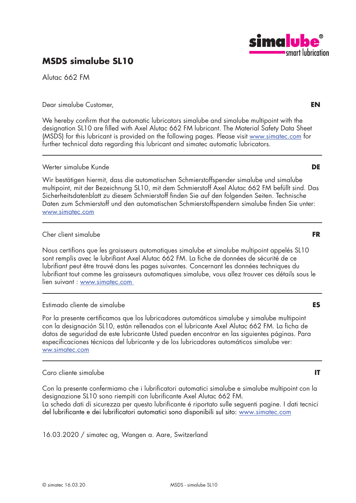# **MSDS simalube SL10**

Alutac 662 FM

Dear simalube Customer, **EN**

We hereby confirm that the automatic lubricators simalube and simalube multipoint with the designation SL10 are filled with Axel Alutac 662 FM lubricant. The Material Safety Data Sheet (MSDS) for this lubricant is provided on the following pages. Please visit www.simatec.com for further technical data regarding this lubricant and simatec automatic lubricators.

## Werter simalube Kunde **DE**

Wir bestätigen hiermit, dass die automatischen Schmierstoffspender simalube und simalube multipoint, mit der Bezeichnung SL10, mit dem Schmierstoff Axel Alutac 662 FM befüllt sind. Das Sicherheitsdatenblatt zu diesem Schmierstoff finden Sie auf den folgenden Seiten. Technische Daten zum Schmierstoff und den automatischen Schmierstoffspendern simalube finden Sie unter: www.simatec.com

## Cher client simalube **FR**

Nous certifions que les graisseurs automatiques simalube et simalube multipoint appelés SL10 sont remplis avec le lubrifiant Axel Alutac 662 FM. La fiche de données de sécurité de ce lubrifiant peut être trouvé dans les pages suivantes. Concernant les données techniques du lubrifiant tout comme les graisseurs automatiques simalube, vous allez trouver ces détails sous le lien suivant : www.simatec.com

## Estimado cliente de simalube **ES**

Por la presente certificamos que los lubricadores automáticos simalube y simalube multipoint con la designación SL10, están rellenados con el lubricante Axel Alutac 662 FM. La ficha de datos de seguridad de este lubricante Usted pueden encontrar en las siguientes páginas. Para especificaciones técnicas del lubricante y de los lubricadores automáticos simalube ver: ww.simatec.com

## Caro cliente simalube **IT**

Con la presente confermiamo che i lubrificatori automatici simalube e simalube multipoint con la designazione SL10 sono riempiti con lubrificante Axel Alutac 662 FM. La scheda dati di sicurezza per questo lubrificante é riportato sulle seguenti pagine. I dati tecnici del lubrificante e dei lubrificatori automatici sono disponibili sul sito: www.simatec.com

16.03.2020 / simatec ag, Wangen a. Aare, Switzerland

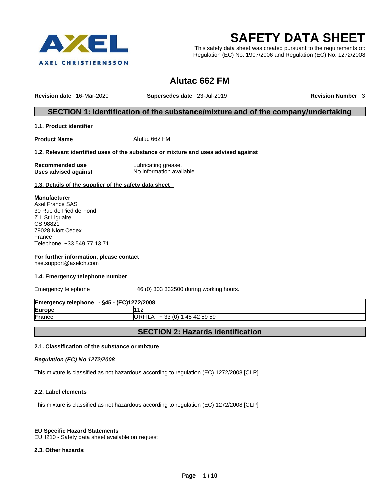

# **SAFETY DATA SHEET**

This safety data sheet was created pursuant to the requirements of: Regulation (EC) No. 1907/2006 and Regulation (EC) No. 1272/2008

## **Alutac 662 FM**

**Revision date** 16-Mar-2020 **Supersedes date** 23-Jul-2019 **Revision Number** 3

## **SECTION 1: Identification of the substance/mixture and of the company/undertaking**

**1.1. Product identifier** 

**Product Name Alutac 662 FM** 

#### **1.2. Relevant identified uses of the substance or mixture and uses advised against**

**Recommended use Commended use Eubricating grease.**<br>
Uses advised against **No** information avail

**Uses advised against** No information available.

**1.3. Details of the supplier of the safety data sheet** 

**Manufacturer** Axel France SAS 30 Rue de Pied de Fond Z.I. St Liguaire CS 98821 79028 Niort Cedex France Telephone: +33 549 77 13 71

**For further information, please contact**  hse.support@axelch.com

#### **1.4. Emergency telephone number**

Emergency telephone +46 (0) 303 332500 during working hours.

| <b>Emergency telephone</b><br>- §45 - (EC)1272/2008 |                                                    |
|-----------------------------------------------------|----------------------------------------------------|
| Europe                                              | 1410<br>ے ا                                        |
| France                                              | (0)<br><b>IORFILA:</b><br>ົດລ<br>45 42 59 59<br>აა |

## **SECTION 2: Hazards identification**

#### **2.1. Classification of the substance or mixture**

*Regulation (EC) No 1272/2008* 

This mixture is classified as not hazardous according to regulation (EC) 1272/2008 [CLP]

#### **2.2. Label elements**

This mixture is classified as not hazardous according to regulation (EC) 1272/2008 [CLP]

#### **EU Specific Hazard Statements**

EUH210 - Safety data sheet available on request

#### **2.3. Other hazards**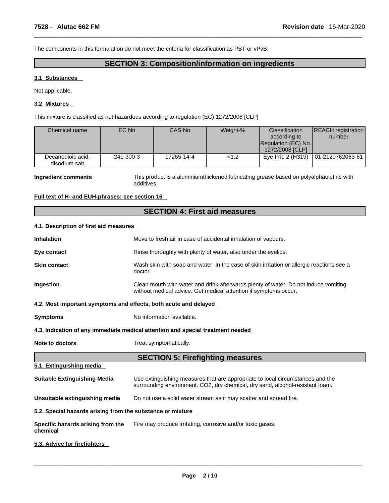The components in this formulation do not meet the criteria for classification as PBT or vPvB.

## **SECTION 3: Composition/information on ingredients**

#### **3.1 Substances**

Not applicable.

#### **3.2 Mixtures**

This mixture is classified as not hazardous according to regulation (EC) 1272/2008 [CLP]

| Chemical name                      | EC No     | CAS No     | Weight-% | <b>Classification</b><br>according to<br>Regulation (EC) No.<br>1272/2008 [CLP] | <b>REACH</b> registration<br>number    |
|------------------------------------|-----------|------------|----------|---------------------------------------------------------------------------------|----------------------------------------|
| Decanedioic acid,<br>disodium salt | 241-300-3 | 17265-14-4 | < 1.2    |                                                                                 | Eye Irrit. 2 (H319)   01-2120762063-61 |

**Ingredient comments** This product is a aluminiumthickened lubricating grease based on polyalphaolefins with additives.

#### **Full text of H- and EUH-phrases: see section 16**

#### **SECTION 4: First aid measures**

#### **4.1. Description of first aid measures**

| <b>Inhalation</b>                                                | Move to fresh air in case of accidental inhalation of vapours.                                                                                                  |
|------------------------------------------------------------------|-----------------------------------------------------------------------------------------------------------------------------------------------------------------|
| Eye contact                                                      | Rinse thoroughly with plenty of water, also under the eyelids.                                                                                                  |
| <b>Skin contact</b>                                              | Wash skin with soap and water. In the case of skin irritation or allergic reactions see a<br>doctor.                                                            |
| Ingestion                                                        | Clean mouth with water and drink afterwards plenty of water. Do not induce vomiting<br>without medical advice. Get medical attention if symptoms occur.         |
| 4.2. Most important symptoms and effects, both acute and delayed |                                                                                                                                                                 |
| <b>Symptoms</b>                                                  | No information available.                                                                                                                                       |
|                                                                  | 4.3. Indication of any immediate medical attention and special treatment needed                                                                                 |
| Note to doctors                                                  | Treat symptomatically.                                                                                                                                          |
|                                                                  | <b>SECTION 5: Firefighting measures</b>                                                                                                                         |
| 5.1. Extinguishing media                                         |                                                                                                                                                                 |
| <b>Suitable Extinguishing Media</b>                              | Use extinguishing measures that are appropriate to local circumstances and the<br>surrounding environment. CO2, dry chemical, dry sand, alcohol-resistant foam. |
| Unsuitable extinguishing media                                   | Do not use a solid water stream as it may scatter and spread fire.                                                                                              |
| 5.2. Special hazards arising from the substance or mixture       |                                                                                                                                                                 |
| Specific hazards arising from the<br>chemical                    | Fire may produce irritating, corrosive and/or toxic gases.                                                                                                      |
| 5.3. Advice for firefighters                                     |                                                                                                                                                                 |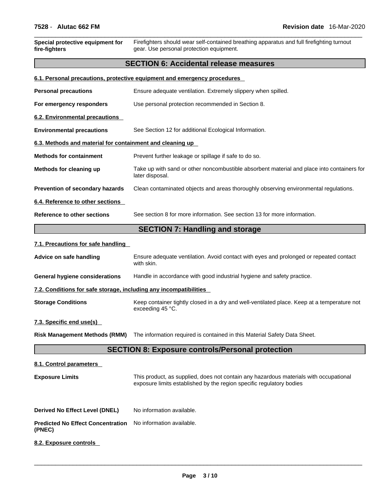| 7528 - Alutac 662 FM                                              | Revision date 16-Mar-2020                                                                                                                                     |
|-------------------------------------------------------------------|---------------------------------------------------------------------------------------------------------------------------------------------------------------|
| Special protective equipment for<br>fire-fighters                 | Firefighters should wear self-contained breathing apparatus and full firefighting turnout<br>gear. Use personal protection equipment.                         |
|                                                                   | <b>SECTION 6: Accidental release measures</b>                                                                                                                 |
|                                                                   | 6.1. Personal precautions, protective equipment and emergency procedures                                                                                      |
| <b>Personal precautions</b>                                       | Ensure adequate ventilation. Extremely slippery when spilled.                                                                                                 |
| For emergency responders                                          | Use personal protection recommended in Section 8.                                                                                                             |
| <b>6.2. Environmental precautions</b>                             |                                                                                                                                                               |
| <b>Environmental precautions</b>                                  | See Section 12 for additional Ecological Information.                                                                                                         |
| 6.3. Methods and material for containment and cleaning up         |                                                                                                                                                               |
| <b>Methods for containment</b>                                    | Prevent further leakage or spillage if safe to do so.                                                                                                         |
| Methods for cleaning up                                           | Take up with sand or other noncombustible absorbent material and place into containers for<br>later disposal.                                                 |
| Prevention of secondary hazards                                   | Clean contaminated objects and areas thoroughly observing environmental regulations.                                                                          |
| 6.4. Reference to other sections                                  |                                                                                                                                                               |
| Reference to other sections                                       | See section 8 for more information. See section 13 for more information.                                                                                      |
|                                                                   | <b>SECTION 7: Handling and storage</b>                                                                                                                        |
| 7.1. Precautions for safe handling                                |                                                                                                                                                               |
| Advice on safe handling                                           | Ensure adequate ventilation. Avoid contact with eyes and prolonged or repeated contact<br>with skin.                                                          |
| <b>General hygiene considerations</b>                             | Handle in accordance with good industrial hygiene and safety practice.                                                                                        |
| 7.2. Conditions for safe storage, including any incompatibilities |                                                                                                                                                               |
| <b>Storage Conditions</b>                                         | Keep container tightly closed in a dry and well-ventilated place. Keep at a temperature not<br>exceeding 45 °C.                                               |
| 7.3. Specific end use(s)                                          |                                                                                                                                                               |
| <b>Risk Management Methods (RMM)</b>                              | The information required is contained in this Material Safety Data Sheet.                                                                                     |
|                                                                   | <b>SECTION 8: Exposure controls/Personal protection</b>                                                                                                       |
| 8.1. Control parameters                                           |                                                                                                                                                               |
| <b>Exposure Limits</b>                                            | This product, as supplied, does not contain any hazardous materials with occupational<br>exposure limits established by the region specific regulatory bodies |

**Derived No Effect Level (DNEL)** No information available.

**Predicted No Effect Concentration** No information available. **(PNEC)** 

**8.2. Exposure controls**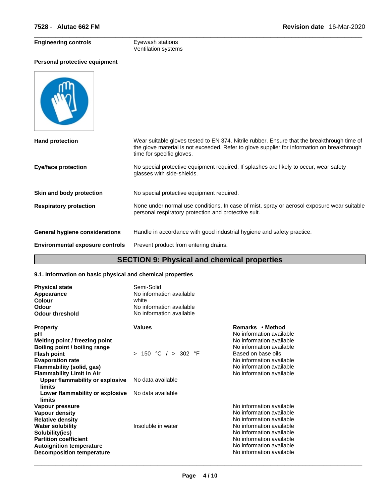**Personal protective equipment**

## **Engineering controls Eyewash stations**

# Ventilation systems

| <b>Hand protection</b>                 | Wear suitable gloves tested to EN 374. Nitrile rubber. Ensure that the breakthrough time of<br>the glove material is not exceeded. Refer to glove supplier for information on breakthrough<br>time for specific gloves. |
|----------------------------------------|-------------------------------------------------------------------------------------------------------------------------------------------------------------------------------------------------------------------------|
| <b>Eye/face protection</b>             | No special protective equipment required. If splashes are likely to occur, wear safety<br>glasses with side-shields.                                                                                                    |
| Skin and body protection               | No special protective equipment required.                                                                                                                                                                               |
| <b>Respiratory protection</b>          | None under normal use conditions. In case of mist, spray or aerosol exposure wear suitable<br>personal respiratory protection and protective suit.                                                                      |
| General hygiene considerations         | Handle in accordance with good industrial hygiene and safety practice.                                                                                                                                                  |
| <b>Environmental exposure controls</b> | Prevent product from entering drains.                                                                                                                                                                                   |
|                                        |                                                                                                                                                                                                                         |

## **SECTION 9: Physical and chemical properties**

## **9.1. Information on basic physical and chemical properties**

| <b>Physical state</b><br>Appearance<br>Colour<br>Odour<br><b>Odour threshold</b>                                                                                                                                  | Semi-Solid<br>No information available<br>white<br>No information available<br>No information available |                                                                                                                                                                                                                              |  |
|-------------------------------------------------------------------------------------------------------------------------------------------------------------------------------------------------------------------|---------------------------------------------------------------------------------------------------------|------------------------------------------------------------------------------------------------------------------------------------------------------------------------------------------------------------------------------|--|
| <b>Property</b><br>рH<br>Melting point / freezing point<br>Boiling point / boiling range<br><b>Flash point</b><br><b>Evaporation rate</b><br>Flammability (solid, gas)                                            | Values<br>> 150 °C / > 302 °F                                                                           | Remarks • Method<br>No information available<br>No information available<br>No information available<br>Based on base oils<br>No information available<br>No information available                                           |  |
| <b>Flammability Limit in Air</b><br>Upper flammability or explosive<br>limits                                                                                                                                     | No data available                                                                                       | No information available                                                                                                                                                                                                     |  |
| Lower flammability or explosive<br>limits                                                                                                                                                                         | No data available                                                                                       |                                                                                                                                                                                                                              |  |
| Vapour pressure<br>Vapour density<br><b>Relative density</b><br><b>Water solubility</b><br>Solubility(ies)<br><b>Partition coefficient</b><br><b>Autoignition temperature</b><br><b>Decomposition temperature</b> | Insoluble in water                                                                                      | No information available<br>No information available<br>No information available<br>No information available<br>No information available<br>No information available<br>No information available<br>No information available |  |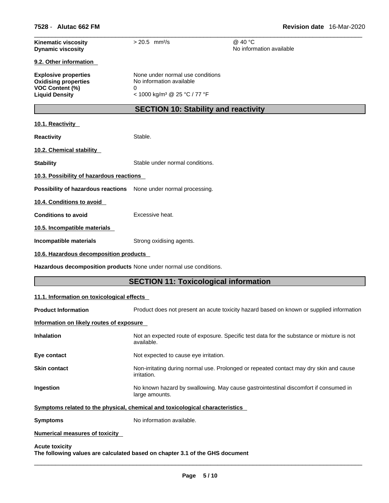| <b>Kinematic viscosity</b><br><b>Dynamic viscosity</b>             | $> 20.5$ mm <sup>2</sup> /s                                                  | @ 40 °C<br>No information available                                                       |
|--------------------------------------------------------------------|------------------------------------------------------------------------------|-------------------------------------------------------------------------------------------|
| 9.2. Other information                                             |                                                                              |                                                                                           |
| <b>Explosive properties</b><br><b>Oxidising properties</b>         | None under normal use conditions<br>No information available                 |                                                                                           |
| VOC Content (%)<br><b>Liquid Density</b>                           | 0<br>< 1000 kg/m <sup>3</sup> @ 25 °C / 77 °F                                |                                                                                           |
|                                                                    | <b>SECTION 10: Stability and reactivity</b>                                  |                                                                                           |
| 10.1. Reactivity                                                   |                                                                              |                                                                                           |
| <b>Reactivity</b>                                                  | Stable.                                                                      |                                                                                           |
| 10.2. Chemical stability                                           |                                                                              |                                                                                           |
| <b>Stability</b>                                                   | Stable under normal conditions.                                              |                                                                                           |
| 10.3. Possibility of hazardous reactions                           |                                                                              |                                                                                           |
| Possibility of hazardous reactions                                 | None under normal processing.                                                |                                                                                           |
| 10.4. Conditions to avoid                                          |                                                                              |                                                                                           |
| <b>Conditions to avoid</b>                                         | Excessive heat.                                                              |                                                                                           |
| 10.5. Incompatible materials                                       |                                                                              |                                                                                           |
| Incompatible materials                                             | Strong oxidising agents.                                                     |                                                                                           |
| 10.6. Hazardous decomposition products                             |                                                                              |                                                                                           |
| Hazardous decomposition products None under normal use conditions. |                                                                              |                                                                                           |
|                                                                    | <b>SECTION 11: Toxicological information</b>                                 |                                                                                           |
| 11.1. Information on toxicological effects                         |                                                                              |                                                                                           |
| <b>Product Information</b>                                         |                                                                              | Product does not present an acute toxicity hazard based on known or supplied information  |
| Information on likely routes of exposure                           |                                                                              |                                                                                           |
| <b>Inhalation</b>                                                  | available.                                                                   | Not an expected route of exposure. Specific test data for the substance or mixture is not |
| Eye contact                                                        | Not expected to cause eye irritation.                                        |                                                                                           |
| <b>Skin contact</b>                                                | irritation.                                                                  | Non-irritating during normal use. Prolonged or repeated contact may dry skin and cause    |
| Ingestion                                                          | large amounts.                                                               | No known hazard by swallowing. May cause gastrointestinal discomfort if consumed in       |
|                                                                    | Symptoms related to the physical, chemical and toxicological characteristics |                                                                                           |
| <b>Symptoms</b>                                                    | No information available.                                                    |                                                                                           |
| Numerical measures of toxicity                                     |                                                                              |                                                                                           |
|                                                                    |                                                                              |                                                                                           |

**Acute toxicity**

**The following values are calculated based on chapter 3.1 of the GHS document**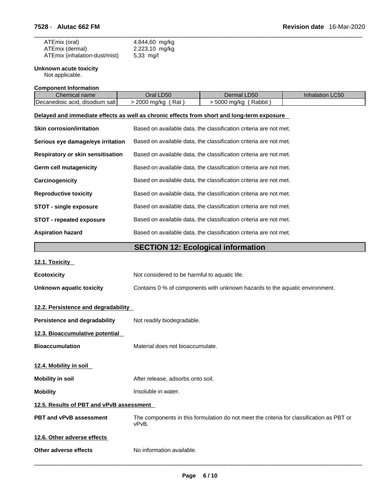| ATEmix (oral)                 | 4.844,60 mg/kg               |
|-------------------------------|------------------------------|
| ATEmix (dermal)               | 2.223,10 mg/kg               |
| ATEmix (inhalation-dust/mist) | $5,33 \, \text{mg}/\text{l}$ |

#### **Unknown acute toxicity**

Not applicable.

**Component Information**

| Chemical name                                                                              | Oral LD50          | Dermal LD50                                                       | Inhalation LC50 |
|--------------------------------------------------------------------------------------------|--------------------|-------------------------------------------------------------------|-----------------|
| Decanedioic acid, disodium salt                                                            | > 2000 mg/kg (Rat) | $>$ 5000 mg/kg (Rabbit)                                           |                 |
| Delayed and immediate effects as well as chronic effects from short and long-term exposure |                    |                                                                   |                 |
| <b>Skin corrosion/irritation</b>                                                           |                    | Based on available data, the classification criteria are not met. |                 |
| Serious eye damage/eye irritation                                                          |                    | Based on available data, the classification criteria are not met. |                 |
| <b>Respiratory or skin sensitisation</b>                                                   |                    | Based on available data, the classification criteria are not met. |                 |
| <b>Germ cell mutagenicity</b>                                                              |                    | Based on available data, the classification criteria are not met. |                 |
| Carcinogenicity                                                                            |                    | Based on available data, the classification criteria are not met. |                 |

| <b>Reproductive toxicity</b>    | Based on available data, the classification criteria are not met. |
|---------------------------------|-------------------------------------------------------------------|
| <b>STOT - single exposure</b>   | Based on available data, the classification criteria are not met. |
| <b>STOT - repeated exposure</b> | Based on available data, the classification criteria are not met. |

#### **Aspiration hazard** Based on available data, the classification criteria are not met.

## **SECTION 12: Ecological information**

|  | 12.1. Toxicity |
|--|----------------|
|--|----------------|

| <b>Ecotoxicity</b>       | Not considered to be harmful to aquatic life.                               |
|--------------------------|-----------------------------------------------------------------------------|
| Unknown aquatic toxicity | Contains 0 % of components with unknown hazards to the aquatic environment. |

## **12.2. Persistence and degradability**

| Persistence and degradability            | Not readily biodegradable.                                                                        |
|------------------------------------------|---------------------------------------------------------------------------------------------------|
| 12.3. Bioaccumulative potential          |                                                                                                   |
| <b>Bioaccumulation</b>                   | Material does not bioaccumulate.                                                                  |
| 12.4. Mobility in soil                   |                                                                                                   |
| <b>Mobility in soil</b>                  | After release, adsorbs onto soil.                                                                 |
| <b>Mobility</b>                          | Insoluble in water.                                                                               |
| 12.5. Results of PBT and vPvB assessment |                                                                                                   |
| <b>PBT and vPvB assessment</b>           | The components in this formulation do not meet the criteria for classification as PBT or<br>vPvB. |
| 12.6. Other adverse effects              |                                                                                                   |
| Other adverse effects                    | No information available.                                                                         |
|                                          |                                                                                                   |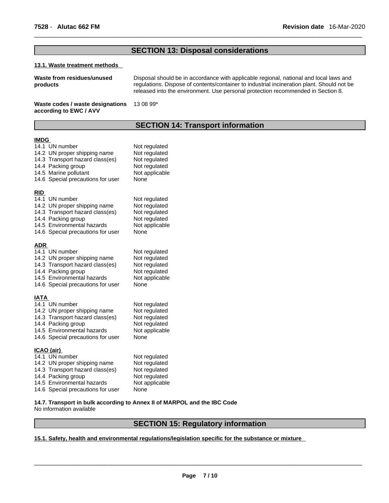## **SECTION 13: Disposal considerations**

#### **13.1. Waste treatment methods**

| Disposal should be in accordance with applicable regional, national and local laws and<br>Waste from residues/unused<br>regulations. Dispose of contents/container to industrial incineration plant. Should not be<br>products<br>released into the environment. Use personal protection recommended in Section 8. |  |
|--------------------------------------------------------------------------------------------------------------------------------------------------------------------------------------------------------------------------------------------------------------------------------------------------------------------|--|
|                                                                                                                                                                                                                                                                                                                    |  |

#### **Waste codes / waste designations** 13 08 99\* **according to EWC / AVV**

## **SECTION 14: Transport information**

#### **IMDG**

|            | 14.1 UN number<br>14.2 UN proper shipping name<br>14.3 Transport hazard class(es)<br>14.4 Packing group<br>14.5 Marine pollutant<br>14.6 Special precautions for user | Not regulated<br>Not regulated<br>Not regulated<br>Not regulated<br>Not applicable<br>None |
|------------|-----------------------------------------------------------------------------------------------------------------------------------------------------------------------|--------------------------------------------------------------------------------------------|
| <b>RID</b> |                                                                                                                                                                       |                                                                                            |
|            | 14.1 UN number                                                                                                                                                        | Not regulated                                                                              |
|            | 14.2 UN proper shipping name                                                                                                                                          | Not regulated                                                                              |
|            | 14.3 Transport hazard class(es)                                                                                                                                       | Not regulated                                                                              |
|            | 14.4 Packing group<br>14.5 Environmental hazards                                                                                                                      | Not regulated<br>Not applicable                                                            |
|            | 14.6 Special precautions for user                                                                                                                                     | None                                                                                       |
|            |                                                                                                                                                                       |                                                                                            |
| <u>ADR</u> |                                                                                                                                                                       |                                                                                            |
|            | 14.1 UN number                                                                                                                                                        | Not regulated                                                                              |
|            | 14.2 UN proper shipping name                                                                                                                                          | Not regulated                                                                              |
|            | 14.3 Transport hazard class(es)                                                                                                                                       | Not regulated                                                                              |
|            | 14.4 Packing group                                                                                                                                                    | Not regulated                                                                              |
|            | 14.5 Environmental hazards                                                                                                                                            | Not applicable                                                                             |
|            | 14.6 Special precautions for user                                                                                                                                     | None                                                                                       |
| IATA       |                                                                                                                                                                       |                                                                                            |
|            | 14.1 UN number                                                                                                                                                        | Not regulated                                                                              |
|            | 14.2 UN proper shipping name                                                                                                                                          | Not regulated                                                                              |
|            | 14.3 Transport hazard class(es)                                                                                                                                       | Not regulated                                                                              |
|            | 14.4 Packing group                                                                                                                                                    | Not regulated                                                                              |
|            | 14.5 Environmental hazards                                                                                                                                            | Not applicable                                                                             |
|            | 14.6 Special precautions for user                                                                                                                                     | None                                                                                       |
|            | <u>ICAO (air)</u>                                                                                                                                                     |                                                                                            |
|            | 14.1 UN number                                                                                                                                                        | Not regulated                                                                              |
|            | 14.2 UN proper shipping name                                                                                                                                          | Not regulated                                                                              |
|            | 14.3 Transport hazard class(es)                                                                                                                                       | Not regulated                                                                              |
|            | 14.4 Packing group                                                                                                                                                    | Not regulated                                                                              |
|            | 14.5 Environmental hazards                                                                                                                                            | Not applicable                                                                             |
|            | 14.6 Special precautions for user                                                                                                                                     | None                                                                                       |

## **14.7. Transport in bulk according to Annex II of MARPOL and the IBC Code**

No information available

## **SECTION 15: Regulatory information**

#### **15.1. Safety, health and environmental regulations/legislation specific for the substance or mixture**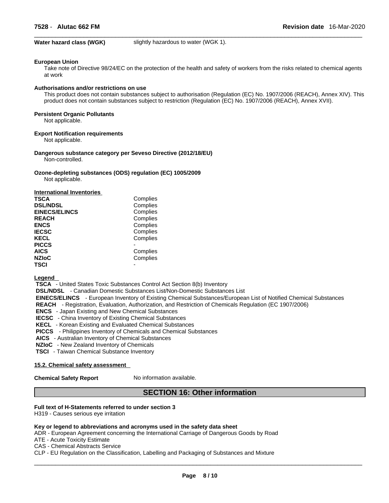**Water hazard class (WGK)** slightly hazardous to water (WGK 1).

#### **European Union**

Take note of Directive 98/24/EC on the protection of the health and safety of workers from the risks related to chemical agents at work

#### **Authorisations and/or restrictions on use**

This product does not contain substances subject to authorisation (Regulation (EC) No. 1907/2006 (REACH), Annex XIV). This product does not contain substances subject to restriction (Regulation (EC) No. 1907/2006 (REACH), Annex XVII).

#### **Persistent Organic Pollutants**

Not applicable.

#### **Export Notification requirements**

Not applicable.

#### **Dangerous substance category per Seveso Directive (2012/18/EU)** Non-controlled.

**Ozone-depleting substances (ODS) regulation (EC) 1005/2009** Not applicable.

| <b>International Inventories</b> |          |
|----------------------------------|----------|
| <b>TSCA</b>                      | Complies |
| <b>DSL/NDSL</b>                  | Complies |
| <b>EINECS/ELINCS</b>             | Complies |
| <b>REACH</b>                     | Complies |
| <b>ENCS</b>                      | Complies |
| <b>IECSC</b>                     | Complies |
| <b>KECL</b>                      | Complies |
| <b>PICCS</b>                     |          |
| <b>AICS</b>                      | Complies |
| <b>NZIoC</b>                     | Complies |
| <b>TSCI</b>                      |          |

#### **Legend**

 **TSCA** - United States Toxic Substances Control Act Section 8(b) Inventory

 **DSL/NDSL** - Canadian Domestic Substances List/Non-Domestic Substances List

 **EINECS/ELINCS** - European Inventory of Existing Chemical Substances/European List of Notified Chemical Substances

 **REACH** - Registration, Evaluation, Authorization, and Restriction of Chemicals Regulation (EC 1907/2006)

 **ENCS** - Japan Existing and New Chemical Substances

 **IECSC** - China Inventory of Existing Chemical Substances

 **KECL** - Korean Existing and Evaluated Chemical Substances

 **PICCS** - Philippines Inventory of Chemicals and Chemical Substances

 **AICS** - Australian Inventory of Chemical Substances

 **NZIoC** - New Zealand Inventory of Chemicals

 **TSCI** - Taiwan Chemical Substance Inventory

#### **15.2. Chemical safety assessment**

**Chemical Safety Report** No information available.

## **SECTION 16: Other information**

#### **Full text of H-Statements referred to undersection 3**

H319 - Causes serious eye irritation

#### **Key or legend to abbreviations and acronyms used in the safety data sheet**

ADR - European Agreement concerning the International Carriage of Dangerous Goods by Road

ATE - Acute Toxicity Estimate

CAS - Chemical Abstracts Service

CLP - EU Regulation on the Classification, Labelling and Packaging of Substances and Mixture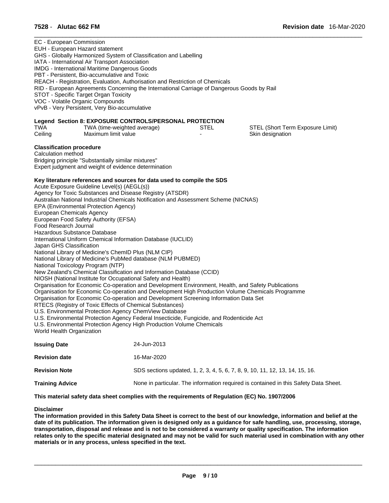|                        | 7528 - Alutac 662 FM                                                                                                                                                                                                                                                                                                                                                                                                                                                                                                                                                                                                                                                                                                                                                                                                                                                                                                                |                                                                                                                                                                                                                                                                                                                                                                                                                                                                                                                                                                                                                                                                                                                   | <b>Revision date</b> 16-Mar-2020                     |  |
|------------------------|-------------------------------------------------------------------------------------------------------------------------------------------------------------------------------------------------------------------------------------------------------------------------------------------------------------------------------------------------------------------------------------------------------------------------------------------------------------------------------------------------------------------------------------------------------------------------------------------------------------------------------------------------------------------------------------------------------------------------------------------------------------------------------------------------------------------------------------------------------------------------------------------------------------------------------------|-------------------------------------------------------------------------------------------------------------------------------------------------------------------------------------------------------------------------------------------------------------------------------------------------------------------------------------------------------------------------------------------------------------------------------------------------------------------------------------------------------------------------------------------------------------------------------------------------------------------------------------------------------------------------------------------------------------------|------------------------------------------------------|--|
|                        | EC - European Commission<br>EUH - European Hazard statement<br>GHS - Globally Harmonized System of Classification and Labelling<br>IATA - International Air Transport Association<br>IMDG - International Maritime Dangerous Goods<br>PBT - Persistent, Bio-accumulative and Toxic<br>STOT - Specific Target Organ Toxicity<br>VOC - Volatile Organic Compounds<br>vPvB - Very Persistent, Very Bio-accumulative                                                                                                                                                                                                                                                                                                                                                                                                                                                                                                                    | REACH - Registration, Evaluation, Authorisation and Restriction of Chemicals<br>RID - European Agreements Concerning the International Carriage of Dangerous Goods by Rail                                                                                                                                                                                                                                                                                                                                                                                                                                                                                                                                        |                                                      |  |
| TWA<br>Ceiling         | TWA (time-weighted average)<br>Maximum limit value                                                                                                                                                                                                                                                                                                                                                                                                                                                                                                                                                                                                                                                                                                                                                                                                                                                                                  | Legend Section 8: EXPOSURE CONTROLS/PERSONAL PROTECTION<br><b>STEL</b>                                                                                                                                                                                                                                                                                                                                                                                                                                                                                                                                                                                                                                            | STEL (Short Term Exposure Limit)<br>Skin designation |  |
|                        | <b>Classification procedure</b><br>Calculation method<br>Bridging principle "Substantially similar mixtures"<br>Expert judgment and weight of evidence determination<br>Acute Exposure Guideline Level(s) (AEGL(s))<br>Agency for Toxic Substances and Disease Registry (ATSDR)<br>EPA (Environmental Protection Agency)<br>European Chemicals Agency<br>European Food Safety Authority (EFSA)<br>Food Research Journal<br>Hazardous Substance Database<br>International Uniform Chemical Information Database (IUCLID)<br>Japan GHS Classification<br>National Library of Medicine's ChemID Plus (NLM CIP)<br>National Library of Medicine's PubMed database (NLM PUBMED)<br>National Toxicology Program (NTP)<br>NIOSH (National Institute for Occupational Safety and Health)<br>RTECS (Registry of Toxic Effects of Chemical Substances)<br>U.S. Environmental Protection Agency ChemView Database<br>World Health Organization | Key literature references and sources for data used to compile the SDS<br>Australian National Industrial Chemicals Notification and Assessment Scheme (NICNAS)<br>New Zealand's Chemical Classification and Information Database (CCID)<br>Organisation for Economic Co-operation and Development Environment, Health, and Safety Publications<br>Organisation for Economic Co-operation and Development High Production Volume Chemicals Programme<br>Organisation for Economic Co-operation and Development Screening Information Data Set<br>U.S. Environmental Protection Agency Federal Insecticide, Fungicide, and Rodenticide Act<br>U.S. Environmental Protection Agency High Production Volume Chemicals |                                                      |  |
| <b>Issuing Date</b>    |                                                                                                                                                                                                                                                                                                                                                                                                                                                                                                                                                                                                                                                                                                                                                                                                                                                                                                                                     | 24-Jun-2013                                                                                                                                                                                                                                                                                                                                                                                                                                                                                                                                                                                                                                                                                                       |                                                      |  |
|                        | 16-Mar-2020<br><b>Revision date</b>                                                                                                                                                                                                                                                                                                                                                                                                                                                                                                                                                                                                                                                                                                                                                                                                                                                                                                 |                                                                                                                                                                                                                                                                                                                                                                                                                                                                                                                                                                                                                                                                                                                   |                                                      |  |
|                        | SDS sections updated, 1, 2, 3, 4, 5, 6, 7, 8, 9, 10, 11, 12, 13, 14, 15, 16.<br><b>Revision Note</b>                                                                                                                                                                                                                                                                                                                                                                                                                                                                                                                                                                                                                                                                                                                                                                                                                                |                                                                                                                                                                                                                                                                                                                                                                                                                                                                                                                                                                                                                                                                                                                   |                                                      |  |
| <b>Training Advice</b> |                                                                                                                                                                                                                                                                                                                                                                                                                                                                                                                                                                                                                                                                                                                                                                                                                                                                                                                                     | None in particular. The information required is contained in this Safety Data Sheet.                                                                                                                                                                                                                                                                                                                                                                                                                                                                                                                                                                                                                              |                                                      |  |

**This material safety data sheet complies with the requirements of Regulation (EC) No. 1907/2006**

#### **Disclaimer**

The information provided in this Safety Data Sheet is correct to the best of our knowledge, information and belief at the date of its publication. The information given is designed only as a guidance for safe handling, use, processing, storage, transportation, disposal and release and is not to be considered a warranty or quality specification. The information relates only to the specific material designated and may not be valid for such material used in combination with any other **materials or in any process,unless specified in the text.**